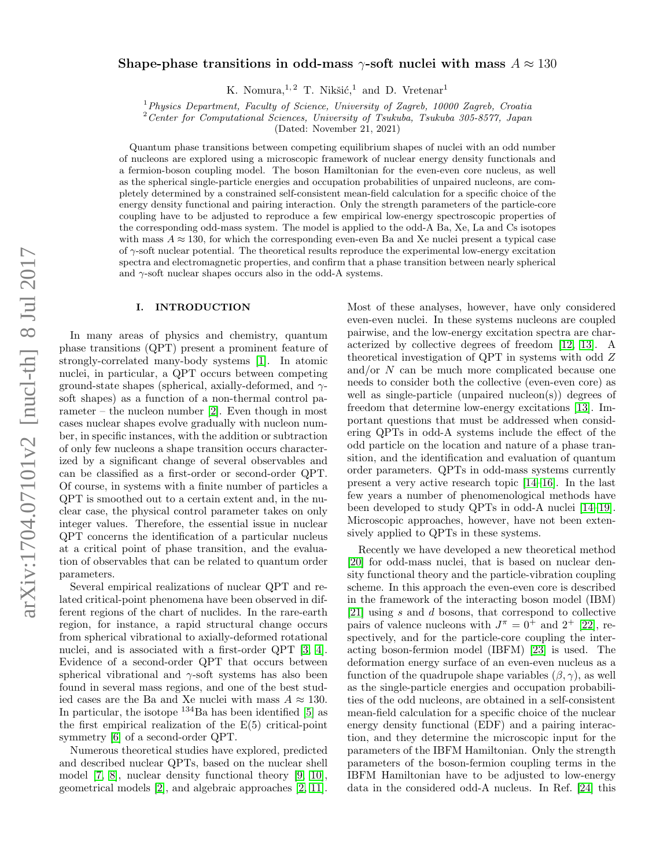# arXiv:1704.07101v2 [nucl-th] 8 Jul 2017 arXiv:1704.07101v2 [nucl-th] 8 Jul 2017

# Shape-phase transitions in odd-mass  $\gamma$ -soft nuclei with mass  $A \approx 130$

K. Nomura,<sup>1,2</sup> T. Nikšić,<sup>1</sup> and D. Vretenar<sup>1</sup>

 $1$ Physics Department, Faculty of Science, University of Zagreb, 10000 Zagreb, Croatia

 $2$  Center for Computational Sciences, University of Tsukuba, Tsukuba 305-8577, Japan

(Dated: November 21, 2021)

Quantum phase transitions between competing equilibrium shapes of nuclei with an odd number of nucleons are explored using a microscopic framework of nuclear energy density functionals and a fermion-boson coupling model. The boson Hamiltonian for the even-even core nucleus, as well as the spherical single-particle energies and occupation probabilities of unpaired nucleons, are completely determined by a constrained self-consistent mean-field calculation for a specific choice of the energy density functional and pairing interaction. Only the strength parameters of the particle-core coupling have to be adjusted to reproduce a few empirical low-energy spectroscopic properties of the corresponding odd-mass system. The model is applied to the odd-A Ba, Xe, La and Cs isotopes with mass  $A \approx 130$ , for which the corresponding even-even Ba and Xe nuclei present a typical case of  $\gamma$ -soft nuclear potential. The theoretical results reproduce the experimental low-energy excitation spectra and electromagnetic properties, and confirm that a phase transition between nearly spherical and  $\gamma$ -soft nuclear shapes occurs also in the odd-A systems.

# I. INTRODUCTION

In many areas of physics and chemistry, quantum phase transitions (QPT) present a prominent feature of strongly-correlated many-body systems [\[1\]](#page-11-0). In atomic nuclei, in particular, a QPT occurs between competing ground-state shapes (spherical, axially-deformed, and  $\gamma$ soft shapes) as a function of a non-thermal control parameter – the nucleon number  $[2]$ . Even though in most cases nuclear shapes evolve gradually with nucleon number, in specific instances, with the addition or subtraction of only few nucleons a shape transition occurs characterized by a significant change of several observables and can be classified as a first-order or second-order QPT. Of course, in systems with a finite number of particles a QPT is smoothed out to a certain extent and, in the nuclear case, the physical control parameter takes on only integer values. Therefore, the essential issue in nuclear QPT concerns the identification of a particular nucleus at a critical point of phase transition, and the evaluation of observables that can be related to quantum order parameters.

Several empirical realizations of nuclear QPT and related critical-point phenomena have been observed in different regions of the chart of nuclides. In the rare-earth region, for instance, a rapid structural change occurs from spherical vibrational to axially-deformed rotational nuclei, and is associated with a first-order QPT [\[3,](#page-11-2) [4\]](#page-11-3). Evidence of a second-order QPT that occurs between spherical vibrational and  $\gamma$ -soft systems has also been found in several mass regions, and one of the best studied cases are the Ba and Xe nuclei with mass  $A \approx 130.$ In particular, the isotope  $134$ Ba has been identified [\[5\]](#page-11-4) as the first empirical realization of the  $E(5)$  critical-point symmetry [\[6\]](#page-11-5) of a second-order QPT.

Numerous theoretical studies have explored, predicted and described nuclear QPTs, based on the nuclear shell model [\[7,](#page-11-6) [8\]](#page-11-7), nuclear density functional theory [\[9,](#page-11-8) [10\]](#page-11-9), geometrical models [\[2\]](#page-11-1), and algebraic approaches [\[2,](#page-11-1) [11\]](#page-11-10). Most of these analyses, however, have only considered even-even nuclei. In these systems nucleons are coupled pairwise, and the low-energy excitation spectra are characterized by collective degrees of freedom [\[12,](#page-12-0) [13\]](#page-12-1). A theoretical investigation of QPT in systems with odd Z and/or N can be much more complicated because one needs to consider both the collective (even-even core) as well as single-particle (unpaired nucleon(s)) degrees of freedom that determine low-energy excitations [\[13\]](#page-12-1). Important questions that must be addressed when considering QPTs in odd-A systems include the effect of the odd particle on the location and nature of a phase transition, and the identification and evaluation of quantum order parameters. QPTs in odd-mass systems currently present a very active research topic [\[14–](#page-12-2)[16\]](#page-12-3). In the last few years a number of phenomenological methods have been developed to study QPTs in odd-A nuclei [\[14–](#page-12-2)[19\]](#page-12-4). Microscopic approaches, however, have not been extensively applied to QPTs in these systems.

Recently we have developed a new theoretical method [\[20\]](#page-12-5) for odd-mass nuclei, that is based on nuclear density functional theory and the particle-vibration coupling scheme. In this approach the even-even core is described in the framework of the interacting boson model (IBM) [\[21\]](#page-12-6) using s and d bosons, that correspond to collective pairs of valence nucleons with  $J^{\pi} = 0^{+}$  and  $2^{+}$  [\[22\]](#page-12-7), respectively, and for the particle-core coupling the interacting boson-fermion model (IBFM) [\[23\]](#page-12-8) is used. The deformation energy surface of an even-even nucleus as a function of the quadrupole shape variables  $(\beta, \gamma)$ , as well as the single-particle energies and occupation probabilities of the odd nucleons, are obtained in a self-consistent mean-field calculation for a specific choice of the nuclear energy density functional (EDF) and a pairing interaction, and they determine the microscopic input for the parameters of the IBFM Hamiltonian. Only the strength parameters of the boson-fermion coupling terms in the IBFM Hamiltonian have to be adjusted to low-energy data in the considered odd-A nucleus. In Ref. [\[24\]](#page-12-9) this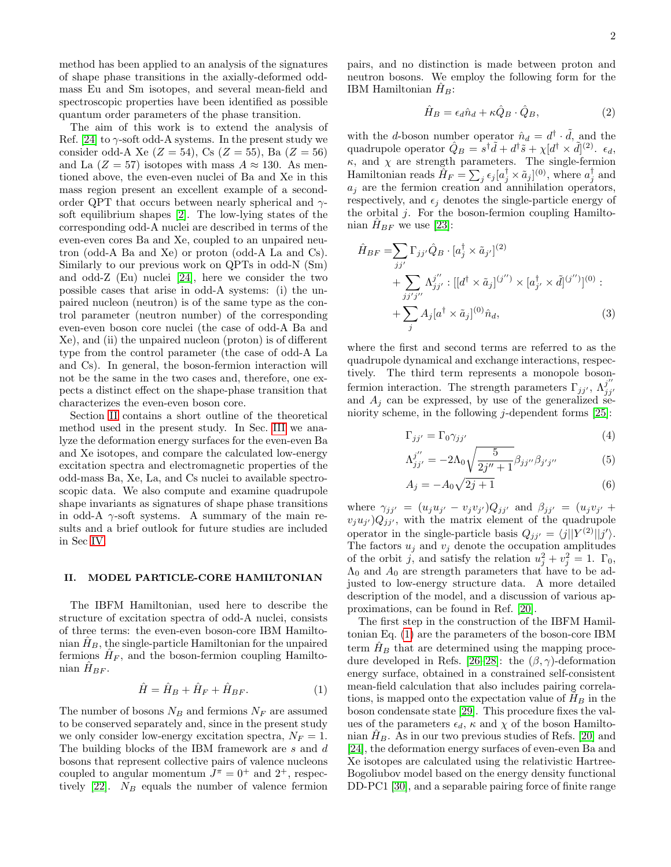method has been applied to an analysis of the signatures of shape phase transitions in the axially-deformed oddmass Eu and Sm isotopes, and several mean-field and spectroscopic properties have been identified as possible quantum order parameters of the phase transition.

The aim of this work is to extend the analysis of Ref. [\[24\]](#page-12-9) to  $\gamma$ -soft odd-A systems. In the present study we consider odd-A Xe  $(Z = 54)$ , Cs  $(Z = 55)$ , Ba  $(Z = 56)$ and La  $(Z = 57)$  isotopes with mass  $A \approx 130$ . As mentioned above, the even-even nuclei of Ba and Xe in this mass region present an excellent example of a secondorder QPT that occurs between nearly spherical and  $\gamma$ soft equilibrium shapes [\[2\]](#page-11-1). The low-lying states of the corresponding odd-A nuclei are described in terms of the even-even cores Ba and Xe, coupled to an unpaired neutron (odd-A Ba and Xe) or proton (odd-A La and Cs). Similarly to our previous work on QPTs in odd-N (Sm) and odd-Z (Eu) nuclei [\[24\]](#page-12-9), here we consider the two possible cases that arise in odd-A systems: (i) the unpaired nucleon (neutron) is of the same type as the control parameter (neutron number) of the corresponding even-even boson core nuclei (the case of odd-A Ba and Xe), and (ii) the unpaired nucleon (proton) is of different type from the control parameter (the case of odd-A La and Cs). In general, the boson-fermion interaction will not be the same in the two cases and, therefore, one expects a distinct effect on the shape-phase transition that characterizes the even-even boson core.

Section [II](#page-1-0) contains a short outline of the theoretical method used in the present study. In Sec. [III](#page-4-0) we analyze the deformation energy surfaces for the even-even Ba and Xe isotopes, and compare the calculated low-energy excitation spectra and electromagnetic properties of the odd-mass Ba, Xe, La, and Cs nuclei to available spectroscopic data. We also compute and examine quadrupole shape invariants as signatures of shape phase transitions in odd-A  $\gamma$ -soft systems. A summary of the main results and a brief outlook for future studies are included in Sec [IV.](#page-11-11)

### <span id="page-1-0"></span>II. MODEL PARTICLE-CORE HAMILTONIAN

The IBFM Hamiltonian, used here to describe the structure of excitation spectra of odd-A nuclei, consists of three terms: the even-even boson-core IBM Hamiltonian  $H<sub>B</sub>$ , the single-particle Hamiltonian for the unpaired fermions  $\hat{H}_F$ , and the boson-fermion coupling Hamiltonian  $\hat{H}_{BF}$ .

<span id="page-1-1"></span>
$$
\hat{H} = \hat{H}_B + \hat{H}_F + \hat{H}_{BF}.
$$
\n(1)

The number of bosons  $N_B$  and fermions  $N_F$  are assumed to be conserved separately and, since in the present study we only consider low-energy excitation spectra,  $N_F = 1$ . The building blocks of the IBM framework are s and d bosons that represent collective pairs of valence nucleons coupled to angular momentum  $J^{\pi} = 0^{+}$  and  $2^{+}$ , respectively  $[22]$ .  $N_B$  equals the number of valence fermion

pairs, and no distinction is made between proton and neutron bosons. We employ the following form for the IBM Hamiltonian  $\hat{H}_B$ :

$$
\hat{H}_B = \epsilon_d \hat{n}_d + \kappa \hat{Q}_B \cdot \hat{Q}_B, \qquad (2)
$$

with the d-boson number operator  $\hat{n}_d = d^{\dagger} \cdot \tilde{d}$ , and the quadrupole operator  $\hat{Q}_B = s^{\dagger} \tilde{d} + d^{\dagger} \tilde{s} + \chi[d^{\dagger} \times \tilde{d}]^{(2)}$ .  $\epsilon_d$ ,  $\kappa$ , and  $\chi$  are strength parameters. The single-fermion Hamiltonian reads  $\hat{H}_F = \sum_j \epsilon_j [a_j^{\dagger} \times \tilde{a}_j]^{(0)}$ , where  $a_j^{\dagger}$  and  $a_i$  are the fermion creation and annihilation operators, respectively, and  $\epsilon_i$  denotes the single-particle energy of the orbital  $j$ . For the boson-fermion coupling Hamiltonian  $H_{BF}$  we use [\[23\]](#page-12-8):

<span id="page-1-2"></span>
$$
\hat{H}_{BF} = \sum_{jj'} \Gamma_{jj'} \hat{Q}_B \cdot [a_j^{\dagger} \times \tilde{a}_{j'}]^{(2)} \n+ \sum_{jj'j''} \Lambda_{jj'}^{j''} : [[d^{\dagger} \times \tilde{a}_j]^{(j'')} \times [a_{j'}^{\dagger} \times \tilde{d}]^{(j'')}]^{(0)} : \n+ \sum_{j} A_j [a^{\dagger} \times \tilde{a}_j]^{(0)} \hat{n}_d,
$$
\n(3)

where the first and second terms are referred to as the quadrupole dynamical and exchange interactions, respectively. The third term represents a monopole bosonfermion interaction. The strength parameters  $\Gamma_{jj'}$ ,  $\Lambda_{jj}^{j''}$  $jj'$ and  $A_i$  can be expressed, by use of the generalized seniority scheme, in the following  $i$ -dependent forms [\[25\]](#page-12-10):

$$
\Gamma_{jj'} = \Gamma_0 \gamma_{jj'} \tag{4}
$$

$$
\Lambda_{jj'}^{j''} = -2\Lambda_0 \sqrt{\frac{5}{2j'' + 1}} \beta_{jj''} \beta_{j'j''}
$$
 (5)

$$
A_j = -A_0 \sqrt{2j+1} \tag{6}
$$

where  $\gamma_{jj'} = (u_j u_{j'} - v_j v_{j'}) Q_{jj'}$  and  $\beta_{jj'} = (u_j v_{j'} +$  $v_j u_{j'}$ ) $Q_{jj'}$ , with the matrix element of the quadrupole operator in the single-particle basis  $Q_{jj'} = \langle j || Y^{(2)} || j' \rangle$ . The factors  $u_j$  and  $v_j$  denote the occupation amplitudes of the orbit j, and satisfy the relation  $u_j^2 + v_j^2 = 1$ .  $\Gamma_0$ ,  $\Lambda_0$  and  $A_0$  are strength parameters that have to be adjusted to low-energy structure data. A more detailed description of the model, and a discussion of various approximations, can be found in Ref. [\[20\]](#page-12-5).

The first step in the construction of the IBFM Hamiltonian Eq. [\(1\)](#page-1-1) are the parameters of the boson-core IBM term  $H_B$  that are determined using the mapping proce-dure developed in Refs. [\[26–](#page-12-11)[28\]](#page-12-12): the  $(\beta, \gamma)$ -deformation energy surface, obtained in a constrained self-consistent mean-field calculation that also includes pairing correlations, is mapped onto the expectation value of  $H_B$  in the boson condensate state [\[29\]](#page-12-13). This procedure fixes the values of the parameters  $\epsilon_d$ ,  $\kappa$  and  $\chi$  of the boson Hamiltonian  $H<sub>B</sub>$ . As in our two previous studies of Refs. [\[20\]](#page-12-5) and [\[24\]](#page-12-9), the deformation energy surfaces of even-even Ba and Xe isotopes are calculated using the relativistic Hartree-Bogoliubov model based on the energy density functional DD-PC1 [\[30\]](#page-12-14), and a separable pairing force of finite range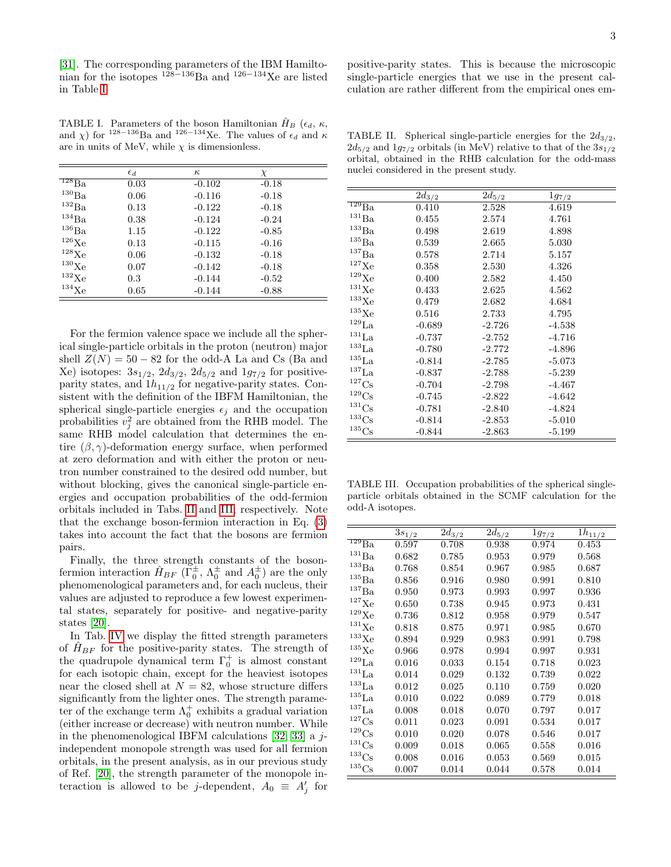[\[31\]](#page-12-15). The corresponding parameters of the IBM Hamiltonian for the isotopes  $128-136$ Ba and  $126-134$ Xe are listed in Table [I.](#page-2-0)

<span id="page-2-0"></span>TABLE I. Parameters of the boson Hamiltonian  $\hat{H}_B$  ( $\epsilon_d$ ,  $\kappa$ , and  $\chi$ ) for <sup>128–136</sup>Ba and <sup>126–134</sup>Xe. The values of  $\epsilon_d$  and  $\kappa$ are in units of MeV, while  $\chi$  is dimensionless.

|                                |              | $\kappa$ |         |  |
|--------------------------------|--------------|----------|---------|--|
|                                | $\epsilon_d$ |          | X.      |  |
| $\overline{^{128}\mathrm{Ba}}$ | 0.03         | $-0.102$ | $-0.18$ |  |
| $^{130}\rm{Ba}$                | 0.06         | $-0.116$ | $-0.18$ |  |
| $^{132}\mathrm{Ba}$            | 0.13         | $-0.122$ | $-0.18$ |  |
| $^{134}\mathrm{Ba}$            | 0.38         | $-0.124$ | $-0.24$ |  |
| $^{136}\rm{Ba}$                | 1.15         | $-0.122$ | $-0.85$ |  |
| $^{126}\text{Xe}$              | 0.13         | $-0.115$ | $-0.16$ |  |
| $^{128}\mathrm{Xe}$            | 0.06         | $-0.132$ | $-0.18$ |  |
| $^{130}\text{Xe}$              | 0.07         | $-0.142$ | $-0.18$ |  |
| $^{132}\text{Xe}$              | 0.3          | $-0.144$ | $-0.52$ |  |
| $^{134}\mathrm{Xe}$            | 0.65         | $-0.144$ | $-0.88$ |  |

For the fermion valence space we include all the spherical single-particle orbitals in the proton (neutron) major shell  $Z(N) = 50 - 82$  for the odd-A La and Cs (Ba and Xe) isotopes:  $3s_{1/2}$ ,  $2d_{3/2}$ ,  $2d_{5/2}$  and  $1g_{7/2}$  for positiveparity states, and  $1h_{11/2}$  for negative-parity states. Consistent with the definition of the IBFM Hamiltonian, the spherical single-particle energies  $\epsilon_j$  and the occupation probabilities  $v_j^2$  are obtained from the RHB model. The same RHB model calculation that determines the entire  $(\beta, \gamma)$ -deformation energy surface, when performed at zero deformation and with either the proton or neutron number constrained to the desired odd number, but without blocking, gives the canonical single-particle energies and occupation probabilities of the odd-fermion orbitals included in Tabs. [II](#page-2-1) and [III,](#page-2-2) respectively. Note that the exchange boson-fermion interaction in Eq. [\(3\)](#page-1-2) takes into account the fact that the bosons are fermion pairs.

Finally, the three strength constants of the bosonfermion interaction  $\hat{H}_{BF}$  ( $\check{\Gamma}_{0}^{\pm}$ ,  $\Lambda_{0}^{\pm}$  and  $A_{0}^{\pm}$ ) are the only phenomenological parameters and, for each nucleus, their values are adjusted to reproduce a few lowest experimental states, separately for positive- and negative-parity states [\[20\]](#page-12-5).

In Tab. [IV](#page-3-0) we display the fitted strength parameters of  $H_{BF}$  for the positive-parity states. The strength of the quadrupole dynamical term  $\Gamma_0^+$  is almost constant for each isotopic chain, except for the heaviest isotopes near the closed shell at  $N = 82$ , whose structure differs significantly from the lighter ones. The strength parameter of the exchange term  $\Lambda_0^+$  exhibits a gradual variation (either increase or decrease) with neutron number. While in the phenomenological IBFM calculations [\[32,](#page-12-16) [33\]](#page-12-17) a  $i$ independent monopole strength was used for all fermion orbitals, in the present analysis, as in our previous study of Ref. [\[20\]](#page-12-5), the strength parameter of the monopole interaction is allowed to be j-dependent,  $A_0 \equiv A'_j$  for

positive-parity states. This is because the microscopic single-particle energies that we use in the present calculation are rather different from the empirical ones em-

<span id="page-2-1"></span>TABLE II. Spherical single-particle energies for the  $2d_{3/2}$ ,  $2d_{5/2}$  and  $1g_{7/2}$  orbitals (in MeV) relative to that of the  $3s_{1/2}$ orbital, obtained in the RHB calculation for the odd-mass nuclei considered in the present study.

|                     | $2d_{3/2}$ | $2d_{5/2}$ | $1g_{7/2}$ |  |
|---------------------|------------|------------|------------|--|
| $^{129}\mathrm{Ba}$ | 0.410      | 2.528      | 4.619      |  |
| $^{131}\rm{Ba}$     | 0.455      | 2.574      | 4.761      |  |
| $^{133}\rm{Ba}$     | 0.498      | 2.619      | 4.898      |  |
| $^{135}\rm{Ba}$     | 0.539      | 2.665      | 5.030      |  |
| $^{137}\rm{Ba}$     | 0.578      | 2.714      | 5.157      |  |
| $^{127}\text{Xe}$   | 0.358      | 2.530      | 4.326      |  |
| $^{129}\text{Xe}$   | 0.400      | 2.582      | 4.450      |  |
| $^{131}\mathrm{Xe}$ | 0.433      | 2.625      | 4.562      |  |
| $133\text{Xe}$      | 0.479      | 2.682      | 4.684      |  |
| $^{135}\text{Xe}$   | 0.516      | 2.733      | 4.795      |  |
| $^{129}\mathrm{La}$ | $-0.689$   | $-2.726$   | $-4.538$   |  |
| $^{131}\mathrm{La}$ | $-0.737$   | $-2.752$   | $-4.716$   |  |
| $^{133}\mathrm{La}$ | $-0.780$   | $-2.772$   | $-4.896$   |  |
| $^{135}\rm{La}$     | $-0.814$   | $-2.785$   | $-5.073$   |  |
| $^{137}\rm{La}$     | $-0.837$   | $-2.788$   | $-5.239$   |  |
| $^{127}\mathrm{Cs}$ | $-0.704$   | $-2.798$   | $-4.467$   |  |
| $^{129}Cs$          | $-0.745$   | $-2.822$   | $-4.642$   |  |
| $^{131}\mathrm{Cs}$ | $-0.781$   | $-2.840$   | $-4.824$   |  |
| $^{133}\mathrm{Cs}$ | $-0.814$   | $-2.853$   | $-5.010$   |  |
| $^{135}\mathrm{Cs}$ | $-0.844$   | $-2.863$   | $-5.199$   |  |

<span id="page-2-2"></span>TABLE III. Occupation probabilities of the spherical singleparticle orbitals obtained in the SCMF calculation for the odd-A isotopes.

|                              | $3s_{1/2}$ | $2d_{3/2}$ | $2d_{5/2}$ | $1g_{7/2}$ | $1h_{11/2}$ |
|------------------------------|------------|------------|------------|------------|-------------|
| $^{\mathrm{729}\mathrm{Ba}}$ | 0.597      | 0.708      | 0.938      | 0.974      | 0.453       |
| $^{131}\mathrm{Ba}$          | 0.682      | 0.785      | 0.953      | 0.979      | 0.568       |
| $^{133}\rm{Ba}$              | 0.768      | 0.854      | 0.967      | 0.985      | 0.687       |
| $^{135}\rm{Ba}$              | 0.856      | 0.916      | 0.980      | 0.991      | 0.810       |
| $^{137}\rm{Ba}$              | 0.950      | 0.973      | 0.993      | 0.997      | 0.936       |
| $^{127}\mathrm{Xe}$          | 0.650      | 0.738      | 0.945      | 0.973      | 0.431       |
| $^{129}\text{Xe}$            | 0.736      | 0.812      | 0.958      | 0.979      | 0.547       |
| $^{131}$ Xe                  | 0.818      | 0.875      | 0.971      | 0.985      | 0.670       |
| $^{133}\text{Xe}$            | 0.894      | 0.929      | 0.983      | 0.991      | 0.798       |
| $^{135}\text{Xe}$            | 0.966      | 0.978      | 0.994      | 0.997      | 0.931       |
| $^{129}\mathrm{La}$          | 0.016      | 0.033      | 0.154      | 0.718      | 0.023       |
| $^{131}\mathrm{La}$          | 0.014      | 0.029      | 0.132      | 0.739      | 0.022       |
| $^{133}\rm{La}$              | 0.012      | 0.025      | 0.110      | 0.759      | 0.020       |
| $^{135}\rm{La}$              | 0.010      | 0.022      | 0.089      | 0.779      | 0.018       |
| $^{137}\rm{La}$              | 0.008      | 0.018      | 0.070      | 0.797      | 0.017       |
| $^{127}\mathrm{Cs}$          | 0.011      | 0.023      | 0.091      | 0.534      | 0.017       |
| $^{129}\mathrm{Cs}$          | 0.010      | 0.020      | 0.078      | 0.546      | 0.017       |
| $^{131}\mathrm{Cs}$          | 0.009      | 0.018      | 0.065      | 0.558      | 0.016       |
| $^{133}\mathrm{Cs}$          | 0.008      | 0.016      | 0.053      | 0.569      | 0.015       |
| $^{135}\mathrm{Cs}$          | 0.007      | 0.014      | 0.044      | 0.578      | 0.014       |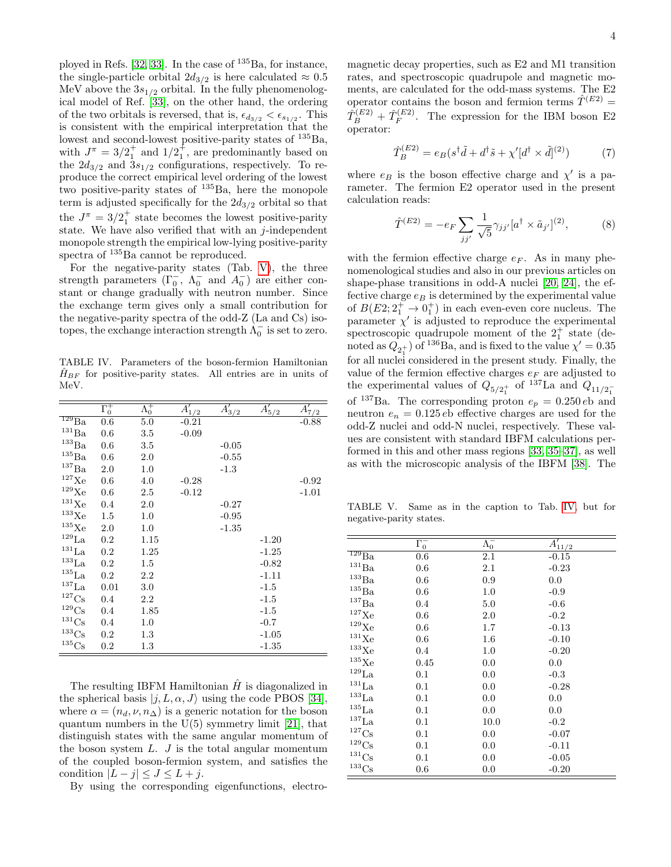ployed in Refs.  $[32, 33]$  $[32, 33]$ . In the case of  $135Ba$ , for instance, the single-particle orbital  $2d_{3/2}$  is here calculated  $\approx 0.5$ MeV above the  $3s_{1/2}$  orbital. In the fully phenomenological model of Ref. [\[33\]](#page-12-17), on the other hand, the ordering of the two orbitals is reversed, that is,  $\epsilon_{d_{3/2}} < \epsilon_{s_{1/2}}$ . This is consistent with the empirical interpretation that the lowest and second-lowest positive-parity states of <sup>135</sup>Ba, with  $J^{\pi} = 3/2_1^+$  and  $1/2_1^+$ , are predominantly based on the  $2d_{3/2}$  and  $3s_{1/2}$  configurations, respectively. To reproduce the correct empirical level ordering of the lowest two positive-parity states of <sup>135</sup>Ba, here the monopole term is adjusted specifically for the  $2d_{3/2}$  orbital so that the  $J^{\pi} = 3/2_1^+$  state becomes the lowest positive-parity state. We have also verified that with an  $j$ -independent monopole strength the empirical low-lying positive-parity spectra of  $^{135}$ Ba cannot be reproduced.

For the negative-parity states (Tab. [V\)](#page-3-1), the three strength parameters  $(\Gamma_0^-, \Lambda_0^-)$  and  $A_0^-$ ) are either constant or change gradually with neutron number. Since the exchange term gives only a small contribution for the negative-parity spectra of the odd-Z (La and Cs) isotopes, the exchange interaction strength  $\Lambda_0^-$  is set to zero.

<span id="page-3-0"></span>TABLE IV. Parameters of the boson-fermion Hamiltonian  $\hat{H}_{BF}$  for positive-parity states. All entries are in units of MeV.

|                     | $\overline{\Gamma_0^+}$ | $\Lambda_0^+$ | $\overline{A'_{1/2}}$ | $\overline{A^\prime_{3/2}}$ | $\overline{A_{5/2}'}$ | $\overline{A'_{7/2}}$ |
|---------------------|-------------------------|---------------|-----------------------|-----------------------------|-----------------------|-----------------------|
| $^{129}\mathrm{Ba}$ | 0.6                     | 5.0           | $-0.21$               |                             |                       | $-0.88$               |
| $^{131}\rm{Ba}$     | 0.6                     | 3.5           | $-0.09$               |                             |                       |                       |
| $^{133}\rm{Ba}$     | 0.6                     | 3.5           |                       | $-0.05$                     |                       |                       |
| $^{135}\mathrm{Ba}$ | 0.6                     | 2.0           |                       | $-0.55$                     |                       |                       |
| $^{137}\rm{Ba}$     | 2.0                     | $1.0\,$       |                       | $-1.3$                      |                       |                       |
| $^{127}\mathrm{Xe}$ | 0.6                     | 4.0           | $-0.28$               |                             |                       | $-0.92$               |
| $^{129}\mathrm{Xe}$ | 0.6                     | 2.5           | $-0.12$               |                             |                       | $-1.01$               |
| $^{131}\mathrm{Xe}$ | 0.4                     | $2.0\,$       |                       | $-0.27$                     |                       |                       |
| $^{133}\mathrm{Xe}$ | 1.5                     | 1.0           |                       | $-0.95$                     |                       |                       |
| $^{135}\mathrm{Xe}$ | 2.0                     | 1.0           |                       | $-1.35$                     |                       |                       |
| $^{129}\mathrm{La}$ | 0.2                     | 1.15          |                       |                             | $-1.20$               |                       |
| $^{131}\mathrm{La}$ | 0.2                     | 1.25          |                       |                             | $-1.25$               |                       |
| $^{133}\rm{La}$     | 0.2                     | 1.5           |                       |                             | $-0.82$               |                       |
| $^{135}\rm{La}$     | $0.2\,$                 | 2.2           |                       |                             | $-1.11$               |                       |
| $^{137}\rm{La}$     | 0.01                    | 3.0           |                       |                             | $-1.5$                |                       |
| $^{127}\mathrm{Cs}$ | 0.4                     | 2.2           |                       |                             | $-1.5$                |                       |
| $^{129}\mathrm{Cs}$ | 0.4                     | 1.85          |                       |                             | $-1.5$                |                       |
| $^{131}\mathrm{Cs}$ | 0.4                     | $1.0\,$       |                       |                             | $-0.7$                |                       |
| $^{133}\mathrm{Cs}$ | 0.2                     | 1.3           |                       |                             | $-1.05$               |                       |
| $^{135}\mathrm{Cs}$ | $0.2\,$                 | $1.3\,$       |                       |                             | $-1.35$               |                       |

The resulting IBFM Hamiltonian  $\hat{H}$  is diagonalized in the spherical basis  $|j, L, \alpha, J\rangle$  using the code PBOS [\[34\]](#page-12-18), where  $\alpha = (n_d, \nu, n_\Delta)$  is a generic notation for the boson quantum numbers in the  $U(5)$  symmetry limit [\[21\]](#page-12-6), that distinguish states with the same angular momentum of the boson system  $L$ .  $J$  is the total angular momentum of the coupled boson-fermion system, and satisfies the condition  $|L - j| \leq J \leq L + j$ .

By using the corresponding eigenfunctions, electro-

magnetic decay properties, such as E2 and M1 transition rates, and spectroscopic quadrupole and magnetic moments, are calculated for the odd-mass systems. The E2 operator contains the boson and fermion terms  $\hat{T}^{(E2)}$  =  $\hat{T}_B^{(E2)} + \hat{T}_F^{(E2)}$  $F_F^{(E2)}$ . The expression for the IBM boson E2 operator:

$$
\hat{T}_B^{(E2)} = e_B(s^\dagger \tilde{d} + d^\dagger \tilde{s} + \chi' [d^\dagger \times \tilde{d}]^{(2)})\tag{7}
$$

where  $e_B$  is the boson effective charge and  $\chi'$  is a parameter. The fermion E2 operator used in the present calculation reads:

$$
\hat{T}^{(E2)} = -e_F \sum_{jj'} \frac{1}{\sqrt{5}} \gamma_{jj'} [a^{\dagger} \times \tilde{a}_{j'}]^{(2)},
$$
 (8)

with the fermion effective charge  $e_F$ . As in many phenomenological studies and also in our previous articles on shape-phase transitions in odd-A nuclei [\[20,](#page-12-5) [24\]](#page-12-9), the effective charge  $e_B$  is determined by the experimental value of  $B(E2; 2_1^{\text{+}} \rightarrow 0_1^{\text{+}})$  in each even-even core nucleus. The parameter  $\chi'$  is adjusted to reproduce the experimental spectroscopic quadrupole moment of the  $2^+_1$  state (denoted as  $Q_{2+}$  of <sup>136</sup>Ba, and is fixed to the value  $\chi'=0.35$ for all nuclei considered in the present study. Finally, the value of the fermion effective charges  $e_F$  are adjusted to the experimental values of  $Q_{5/2_1^+}$  of <sup>137</sup>La and  $Q_{11/2_1^-}$ of <sup>137</sup>Ba. The corresponding proton  $e_p = 0.250 e$ b and neutron  $e_n = 0.125 e$ b effective charges are used for the odd-Z nuclei and odd-N nuclei, respectively. These values are consistent with standard IBFM calculations performed in this and other mass regions [\[33,](#page-12-17) [35–](#page-12-19)[37\]](#page-12-20), as well as with the microscopic analysis of the IBFM [\[38\]](#page-12-21). The

<span id="page-3-1"></span>TABLE V. Same as in the caption to Tab. [IV,](#page-3-0) but for negative-parity states.

|                     | $\overline{\Gamma_0^-}$ | $\Lambda_0^-$ | $\overline{A'_{11/2}}$ |
|---------------------|-------------------------|---------------|------------------------|
| $^{129}\mathrm{Ba}$ | 0.6                     | 2.1           | $-0.15$                |
| $^{131}\mathrm{Ba}$ | 0.6                     | 2.1           | $-0.23$                |
| $^{133}\rm{Ba}$     | 0.6                     | 0.9           | 0.0                    |
| $^{135}\rm{Ba}$     | 0.6                     | 1.0           | $-0.9$                 |
| $^{137}\rm{Ba}$     | 0.4                     | 5.0           | $-0.6$                 |
| $^{127}\mathrm{Xe}$ | 0.6                     | 2.0           | $-0.2$                 |
| $^{129}\mathrm{Xe}$ | 0.6                     | 1.7           | $-0.13$                |
| $^{131}\mathrm{Xe}$ | 0.6                     | $1.6\,$       | $-0.10$                |
| $^{133}\mathrm{Xe}$ | 0.4                     | 1.0           | $-0.20$                |
| $^{135}\mathrm{Xe}$ | 0.45                    | 0.0           | 0.0                    |
| $^{129}\mathrm{La}$ | 0.1                     | 0.0           | $-0.3$                 |
| $^{131}\mathrm{La}$ | 0.1                     | 0.0           | $-0.28$                |
| $^{133}\mathrm{La}$ | 0.1                     | 0.0           | 0.0                    |
| $^{135}\mathrm{La}$ | 0.1                     | 0.0           | 0.0                    |
| $^{137}\rm{La}$     | 0.1                     | 10.0          | $-0.2$                 |
| $^{127}\mathrm{Cs}$ | 0.1                     | 0.0           | $-0.07$                |
| $^{129}\mathrm{Cs}$ | 0.1                     | 0.0           | $-0.11$                |
| $^{131}\mathrm{Cs}$ | 0.1                     | 0.0           | $-0.05$                |
| $^{133}\mathrm{Cs}$ | 0.6                     | 0.0           | $-0.20$                |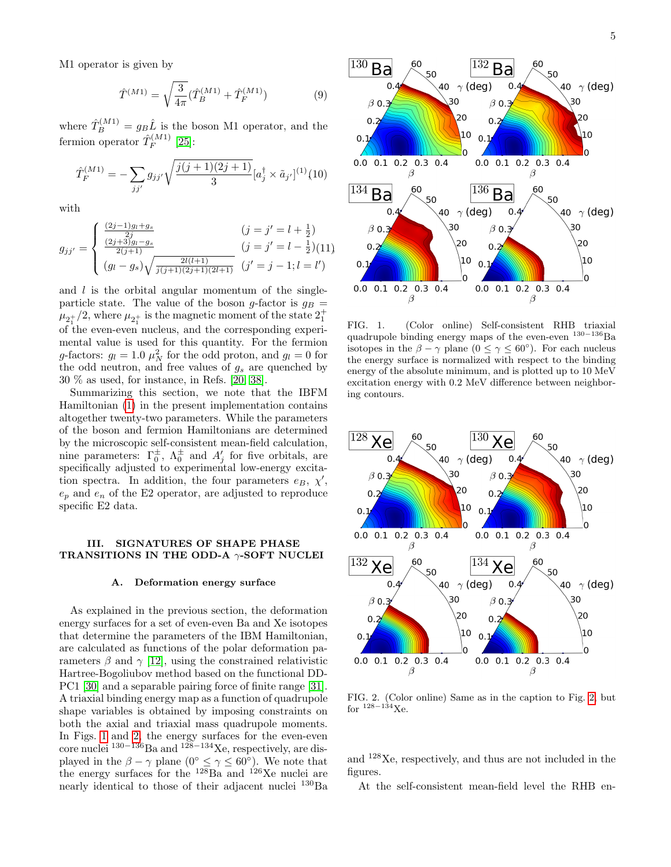M1 operator is given by

$$
\hat{T}^{(M1)} = \sqrt{\frac{3}{4\pi}} (\hat{T}_B^{(M1)} + \hat{T}_F^{(M1)})
$$
(9)

where  $\hat{T}_{B}^{(M1)} = g_B \hat{L}$  is the boson M1 operator, and the fermion operator  $\hat{T}_F^{(M1)}$  $F^{(M1)}$  [\[25\]](#page-12-10):

$$
\hat{T}_F^{(M1)} = -\sum_{jj'} g_{jj'} \sqrt{\frac{j(j+1)(2j+1)}{3}} [a_j^{\dagger} \times \tilde{a}_{j'}]^{(1)}(10)
$$

with

$$
g_{jj'} = \begin{cases} \frac{(2j-1)g_l + g_s}{2j} & (j = j' = l + \frac{1}{2})\\ \frac{(2j+3)g_l - g_s}{2(j+1)} & (j = j' = l - \frac{1}{2})(11)\\ (g_l - g_s)\sqrt{\frac{2l(l+1)}{j(j+1)(2j+1)(2l+1)}} & (j' = j - 1; l = l') \end{cases}
$$

and  $l$  is the orbital angular momentum of the singleparticle state. The value of the boson q-factor is  $q_B =$  $\mu_{2^+_1}/2$ , where  $\mu_{2^+_1}$  is the magnetic moment of the state  $2^+_1$ of the even-even nucleus, and the corresponding experimental value is used for this quantity. For the fermion g-factors:  $g_l = 1.0 \mu_N^2$  for the odd proton, and  $g_l = 0$  for the odd neutron, and free values of  $g_s$  are quenched by 30 % as used, for instance, in Refs. [\[20,](#page-12-5) [38\]](#page-12-21).

Summarizing this section, we note that the IBFM Hamiltonian [\(1\)](#page-1-1) in the present implementation contains altogether twenty-two parameters. While the parameters of the boson and fermion Hamiltonians are determined by the microscopic self-consistent mean-field calculation, nine parameters:  $\Gamma_0^{\pm}$ ,  $\Lambda_0^{\pm}$  and  $A'_j$  for five orbitals, are specifically adjusted to experimental low-energy excitation spectra. In addition, the four parameters  $e_B$ ,  $\chi'$ ,  $e_p$  and  $e_n$  of the E2 operator, are adjusted to reproduce specific E2 data.

## <span id="page-4-0"></span>III. SIGNATURES OF SHAPE PHASE TRANSITIONS IN THE ODD-A  $\gamma$ -SOFT NUCLEI

### A. Deformation energy surface

As explained in the previous section, the deformation energy surfaces for a set of even-even Ba and Xe isotopes that determine the parameters of the IBM Hamiltonian, are calculated as functions of the polar deformation parameters  $\beta$  and  $\gamma$  [\[12\]](#page-12-0), using the constrained relativistic Hartree-Bogoliubov method based on the functional DD-PC1 [\[30\]](#page-12-14) and a separable pairing force of finite range [\[31\]](#page-12-15). A triaxial binding energy map as a function of quadrupole shape variables is obtained by imposing constraints on both the axial and triaxial mass quadrupole moments. In Figs. [1](#page-4-1) and [2,](#page-4-2) the energy surfaces for the even-even core nuclei <sup>130−136</sup>Ba and <sup>128−134</sup>Xe, respectively, are displayed in the  $\beta - \gamma$  plane (0°  $\leq \gamma \leq 60^{\circ}$ ). We note that the energy surfaces for the  $^{128}$ Ba and  $^{126}$ Xe nuclei are nearly identical to those of their adjacent nuclei <sup>130</sup>Ba



 $0.0$   $0.1$   $0.2$   $0.3$   $0.4$ 

 $\beta$ 

FIG. 1. (Color online) Self-consistent RHB triaxial quadrupole binding energy maps of the even-even <sup>130−136</sup>Ba isotopes in the  $\beta - \gamma$  plane  $(0 \le \gamma \le 60^{\circ})$ . For each nucleus the energy surface is normalized with respect to the binding energy of the absolute minimum, and is plotted up to 10 MeV excitation energy with 0.2 MeV difference between neighboring contours.

 $\Omega$ 

 $0.0$   $0.1$   $0.2$   $0.3$   $0.4$ 

<span id="page-4-1"></span> $\beta$ 



<span id="page-4-2"></span>FIG. 2. (Color online) Same as in the caption to Fig. [2,](#page-4-2) but for  $128-134$  Xe.

and <sup>128</sup>Xe, respectively, and thus are not included in the figures.

At the self-consistent mean-field level the RHB en-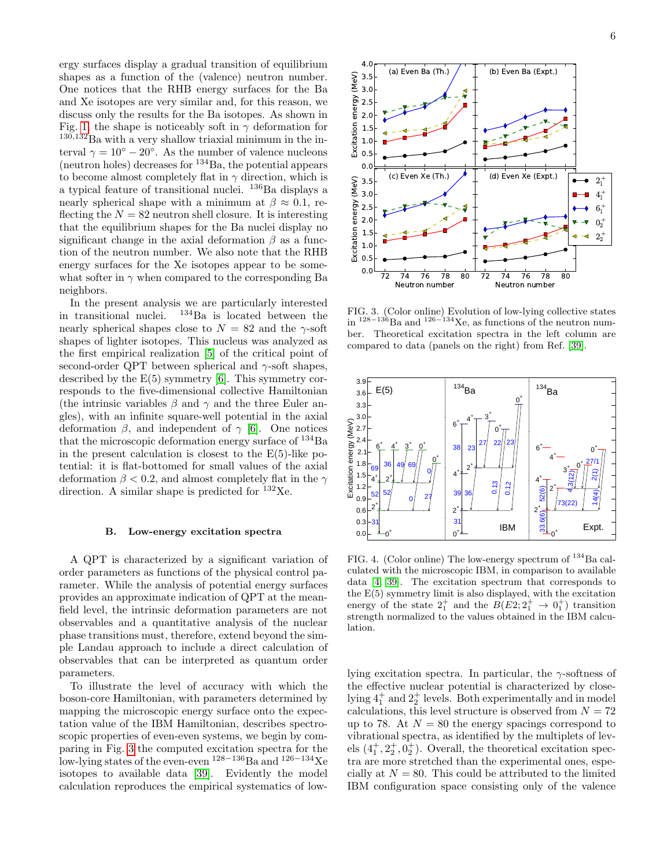ergy surfaces display a gradual transition of equilibrium shapes as a function of the (valence) neutron number. One notices that the RHB energy surfaces for the Ba and Xe isotopes are very similar and, for this reason, we discuss only the results for the Ba isotopes. As shown in Fig. [1,](#page-4-1) the shape is noticeably soft in  $\gamma$  deformation for  $130,132$ Ba with a very shallow triaxial minimum in the interval  $\gamma = 10^{\circ} - 20^{\circ}$ . As the number of valence nucleons (neutron holes) decreases for  $134$ Ba, the potential appears to become almost completely flat in  $\gamma$  direction, which is a typical feature of transitional nuclei. <sup>136</sup>Ba displays a nearly spherical shape with a minimum at  $\beta \approx 0.1$ , reflecting the  $N = 82$  neutron shell closure. It is interesting that the equilibrium shapes for the Ba nuclei display no significant change in the axial deformation  $\beta$  as a function of the neutron number. We also note that the RHB energy surfaces for the Xe isotopes appear to be somewhat softer in  $\gamma$  when compared to the corresponding Ba neighbors.

In the present analysis we are particularly interested in transitional nuclei.  $134Ba$  is located between the nearly spherical shapes close to  $N = 82$  and the  $\gamma$ -soft shapes of lighter isotopes. This nucleus was analyzed as the first empirical realization [\[5\]](#page-11-4) of the critical point of second-order QPT between spherical and  $\gamma$ -soft shapes, described by the  $E(5)$  symmetry  $[6]$ . This symmetry corresponds to the five-dimensional collective Hamiltonian (the intrinsic variables  $\beta$  and  $\gamma$  and the three Euler angles), with an infinite square-well potential in the axial deformation  $\beta$ , and independent of  $\gamma$  [\[6\]](#page-11-5). One notices that the microscopic deformation energy surface of  $^{134}Ba$ in the present calculation is closest to the E(5)-like potential: it is flat-bottomed for small values of the axial deformation  $\beta$  < 0.2, and almost completely flat in the  $\gamma$ direction. A similar shape is predicted for  $^{132}$ Xe.

### B. Low-energy excitation spectra

A QPT is characterized by a significant variation of order parameters as functions of the physical control parameter. While the analysis of potential energy surfaces provides an approximate indication of QPT at the meanfield level, the intrinsic deformation parameters are not observables and a quantitative analysis of the nuclear phase transitions must, therefore, extend beyond the simple Landau approach to include a direct calculation of observables that can be interpreted as quantum order parameters.

To illustrate the level of accuracy with which the boson-core Hamiltonian, with parameters determined by mapping the microscopic energy surface onto the expectation value of the IBM Hamiltonian, describes spectroscopic properties of even-even systems, we begin by comparing in Fig. [3](#page-5-0) the computed excitation spectra for the low-lying states of the even-even  $128-136$ Ba and  $126-134$ Xe isotopes to available data [\[39\]](#page-12-22). Evidently the model calculation reproduces the empirical systematics of low-



<span id="page-5-0"></span>FIG. 3. (Color online) Evolution of low-lying collective states in  $128-136$ Ba and  $126-134$ Xe, as functions of the neutron number. Theoretical excitation spectra in the left column are compared to data (panels on the right) from Ref. [\[39\]](#page-12-22).



<span id="page-5-1"></span>FIG. 4. (Color online) The low-energy spectrum of <sup>134</sup>Ba calculated with the microscopic IBM, in comparison to available data [\[4,](#page-11-3) [39\]](#page-12-22). The excitation spectrum that corresponds to the E(5) symmetry limit is also displayed, with the excitation energy of the state  $2^+_1$  and the  $B(E2; 2^+_1 \rightarrow 0^+_1)$  transition strength normalized to the values obtained in the IBM calculation.

lying excitation spectra. In particular, the  $\gamma$ -softness of the effective nuclear potential is characterized by closelying  $4_1^+$  and  $2_2^+$  levels. Both experimentally and in model calculations, this level structure is observed from  $N = 72$ up to 78. At  $N = 80$  the energy spacings correspond to vibrational spectra, as identified by the multiplets of levels  $(4^+_1, 2^+_2, 0^+_2)$ . Overall, the theoretical excitation spectra are more stretched than the experimental ones, especially at  $N = 80$ . This could be attributed to the limited IBM configuration space consisting only of the valence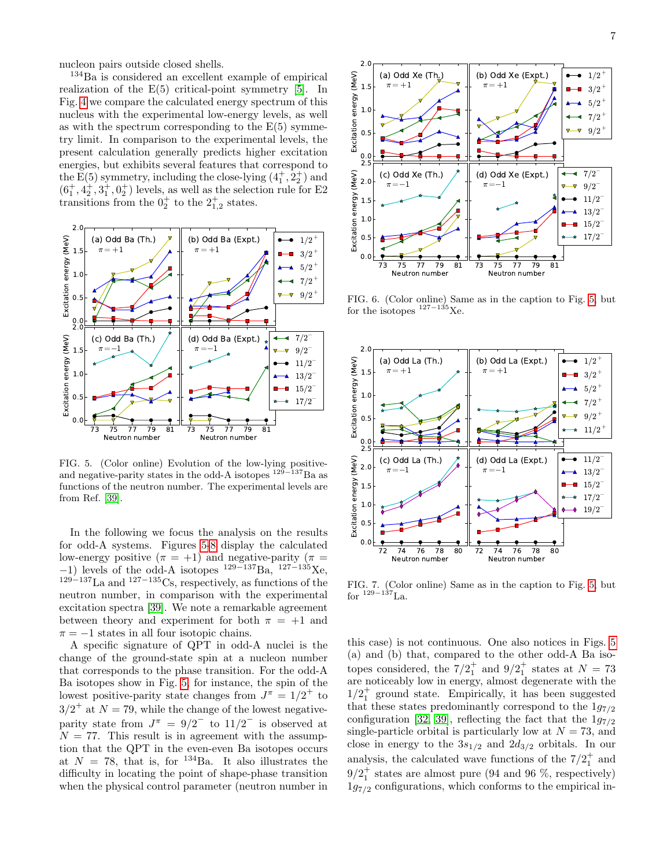nucleon pairs outside closed shells.

<sup>134</sup>Ba is considered an excellent example of empirical realization of the E(5) critical-point symmetry [\[5\]](#page-11-4). In Fig. [4](#page-5-1) we compare the calculated energy spectrum of this nucleus with the experimental low-energy levels, as well as with the spectrum corresponding to the  $E(5)$  symmetry limit. In comparison to the experimental levels, the present calculation generally predicts higher excitation energies, but exhibits several features that correspond to the  $E(5)$  symmetry, including the close-lying  $(4^+_1, 2^+_2)$  and  $(6<sub>1</sub><sup>+</sup>, 4<sub>2</sub><sup>+</sup>, 3<sub>1</sub><sup>+</sup>, 0<sub>2</sub><sup>+</sup>)$  levels, as well as the selection rule for E2 transitions from the  $0_2^+$  to the  $2_{1,2}^+$  states.



<span id="page-6-0"></span>FIG. 5. (Color online) Evolution of the low-lying positiveand negative-parity states in the odd-A isotopes <sup>129–137</sup>Ba as functions of the neutron number. The experimental levels are from Ref. [\[39\]](#page-12-22).

In the following we focus the analysis on the results for odd-A systems. Figures [5-](#page-6-0)[8](#page-7-0) display the calculated low-energy positive  $(\pi = +1)$  and negative-parity  $(\pi =$  $-1$ ) levels of the odd-A isotopes  $129-137$ Ba,  $127-135$ Xe,  $129-137$ La and  $127-135$ Cs, respectively, as functions of the neutron number, in comparison with the experimental excitation spectra [\[39\]](#page-12-22). We note a remarkable agreement between theory and experiment for both  $\pi = +1$  and  $\pi = -1$  states in all four isotopic chains.

A specific signature of QPT in odd-A nuclei is the change of the ground-state spin at a nucleon number that corresponds to the phase transition. For the odd-A Ba isotopes show in Fig. [5,](#page-6-0) for instance, the spin of the lowest positive-parity state changes from  $J^{\pi} = 1/2^{+}$  to  $3/2^+$  at  $N = 79$ , while the change of the lowest negativeparity state from  $J^{\pi} = 9/2^{-}$  to  $11/2^{-}$  is observed at  $N = 77$ . This result is in agreement with the assumption that the QPT in the even-even Ba isotopes occurs at  $N = 78$ , that is, for <sup>134</sup>Ba. It also illustrates the difficulty in locating the point of shape-phase transition when the physical control parameter (neutron number in



<span id="page-6-1"></span>FIG. 6. (Color online) Same as in the caption to Fig. [5,](#page-6-0) but for the isotopes  $127-135$ Xe.



<span id="page-6-2"></span>FIG. 7. (Color online) Same as in the caption to Fig. [5,](#page-6-0) but for  $129-137$ La.

this case) is not continuous. One also notices in Figs. [5](#page-6-0) (a) and (b) that, compared to the other odd-A Ba isotopes considered, the  $7/2_1^+$  and  $9/2_1^+$  states at  $N = 73$ are noticeably low in energy, almost degenerate with the  $1/2<sub>1</sub><sup>+</sup>$  ground state. Empirically, it has been suggested that these states predominantly correspond to the  $1g_{7/2}$ configuration [\[32,](#page-12-16) [39\]](#page-12-22), reflecting the fact that the  $1g_{7/2}$ single-particle orbital is particularly low at  $N = 73$ , and close in energy to the  $3s_{1/2}$  and  $2d_{3/2}$  orbitals. In our analysis, the calculated wave functions of the  $7/2^+_1$  and  $9/2<sub>1</sub><sup>+</sup>$  states are almost pure (94 and 96 %, respectively)  $1g_{7/2}$  configurations, which conforms to the empirical in-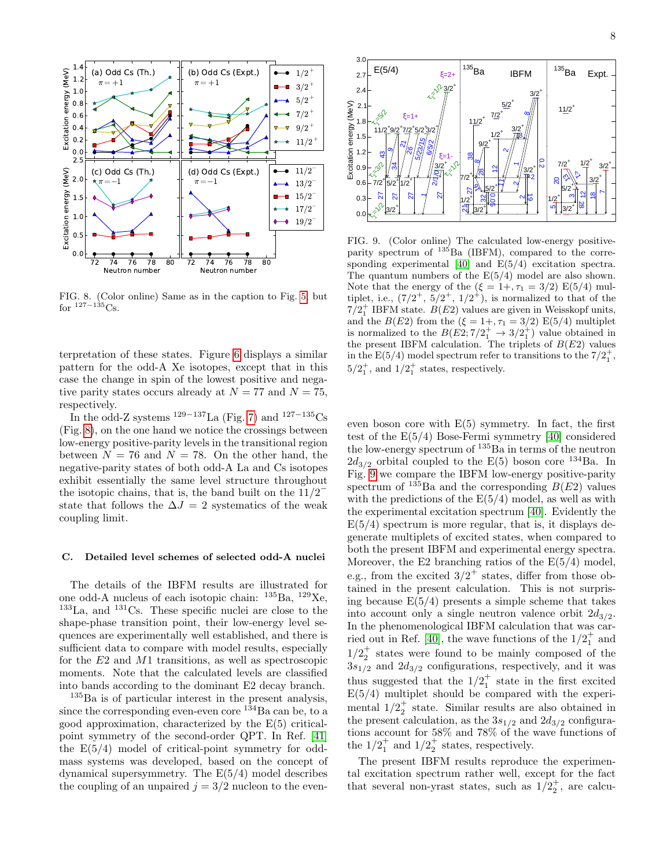

<span id="page-7-0"></span>FIG. 8. (Color online) Same as in the caption to Fig. [5,](#page-6-0) but for  $127-135$ Cs.

terpretation of these states. Figure [6](#page-6-1) displays a similar pattern for the odd-A Xe isotopes, except that in this case the change in spin of the lowest positive and negative parity states occurs already at  $N = 77$  and  $N = 75$ , respectively.

In the odd-Z systems  $^{129-137}$ La (Fig. [7\)](#page-6-2) and  $^{127-135}$ Cs (Fig. [8\)](#page-7-0), on the one hand we notice the crossings between low-energy positive-parity levels in the transitional region between  $N = 76$  and  $N = 78$ . On the other hand, the negative-parity states of both odd-A La and Cs isotopes exhibit essentially the same level structure throughout the isotopic chains, that is, the band built on the  $11/2^$ state that follows the  $\Delta J = 2$  systematics of the weak coupling limit.  $\begin{tabular}{|c|c|c|c|} \hline & $\bullet$ & $\bullet$ & $\bullet$ & $\bullet$ & $\bullet$ & $\bullet$ \\ \hline \hline $\mathbf{F} & \mathbf{F} & \mathbf{F} & \mathbf{F} & \mathbf{F} & \mathbf{F} \\ \hline $\mathbf{F} & \mathbf{F} & \mathbf{F} & \mathbf{F} & \mathbf{F} \\ \hline $\mathbf{F} & \mathbf{F} & \mathbf{F} & \mathbf{F} & \mathbf{F} \\ \hline $\mathbf{F} & \mathbf{F} & \mathbf{F} & \mathbf{F} \\ \hline $\mathbf{F} & \mathbf{F} & \mathbf{$ 

### C. Detailed level schemes of selected odd-A nuclei

The details of the IBFM results are illustrated for one odd-A nucleus of each isotopic chain:  $^{135}$ Ba,  $^{129}$ Xe, <sup>133</sup>La, and <sup>131</sup>Cs. These specific nuclei are close to the shape-phase transition point, their low-energy level sequences are experimentally well established, and there is sufficient data to compare with model results, especially for the E2 and M1 transitions, as well as spectroscopic moments. Note that the calculated levels are classified into bands according to the dominant E2 decay branch.

<sup>135</sup>Ba is of particular interest in the present analysis, since the corresponding even-even core  $^{134}$ Ba can be, to a good approximation, characterized by the E(5) criticalpoint symmetry of the second-order QPT. In Ref. [\[41\]](#page-12-23) the  $E(5/4)$  model of critical-point symmetry for oddmass systems was developed, based on the concept of dynamical supersymmetry. The E(5/4) model describes



<span id="page-7-1"></span>FIG. 9. (Color online) The calculated low-energy positiveparity spectrum of <sup>135</sup>Ba (IBFM), compared to the corresponding experimental [\[40\]](#page-12-24) and E(5/4) excitation spectra. The quantum numbers of the  $E(5/4)$  model are also shown. Note that the energy of the  $(\xi = 1 +, \tau_1 = 3/2)$  E(5/4) multiplet, i.e.,  $(7/2^+, 5/2^+, 1/2^+)$ , is normalized to that of the  $7/2_1^+$  IBFM state.  $B(E2)$  values are given in Weisskopf units, and the  $B(E2)$  from the  $(\xi = 1 +, \tau_1 = 3/2)$  E(5/4) multiplet is normalized to the  $B(E2; 7/2^+_1 \rightarrow 3/2^+_1)$  value obtained in the present IBFM calculation. The triplets of  $B(E2)$  values in the E(5/4) model spectrum refer to transitions to the  $7/2^+_1$ ,  $5/2^+_1$ , and  $1/2^+_1$  states, respectively.

even boson core with  $E(5)$  symmetry. In fact, the first test of the  $E(5/4)$  Bose-Fermi symmetry [\[40\]](#page-12-24) considered the low-energy spectrum of <sup>135</sup>Ba in terms of the neutron  $2d_{3/2}$  orbital coupled to the E(5) boson core <sup>134</sup>Ba. In Fig. [9](#page-7-1) we compare the IBFM low-energy positive-parity spectrum of  $^{135}$ Ba and the corresponding  $B(E2)$  values with the predictions of the  $E(5/4)$  model, as well as with the experimental excitation spectrum [\[40\]](#page-12-24). Evidently the  $E(5/4)$  spectrum is more regular, that is, it displays degenerate multiplets of excited states, when compared to both the present IBFM and experimental energy spectra. Moreover, the E2 branching ratios of the  $E(5/4)$  model, e.g., from the excited  $3/2^+$  states, differ from those obtained in the present calculation. This is not surprising because  $E(5/4)$  presents a simple scheme that takes into account only a single neutron valence orbit  $2d_{3/2}$ . In the phenomenological IBFM calculation that was car-ried out in Ref. [\[40\]](#page-12-24), the wave functions of the  $1/2<sub>1</sub><sup>+</sup>$  and  $1/2^+_2$  states were found to be mainly composed of the  $3s_{1/2}$  and  $2d_{3/2}$  configurations, respectively, and it was thus suggested that the  $1/2_1^+$  state in the first excited  $E(5/4)$  multiplet should be compared with the experimental  $1/2^+_2$  state. Similar results are also obtained in the present calculation, as the  $3s_{1/2}$  and  $2d_{3/2}$  configurations account for 58% and 78% of the wave functions of the  $1/2_1^+$  and  $1/2_2^+$  states, respectively.

The present IBFM results reproduce the experimental excitation spectrum rather well, except for the fact that several non-yrast states, such as  $1/2^+_2$ , are calcu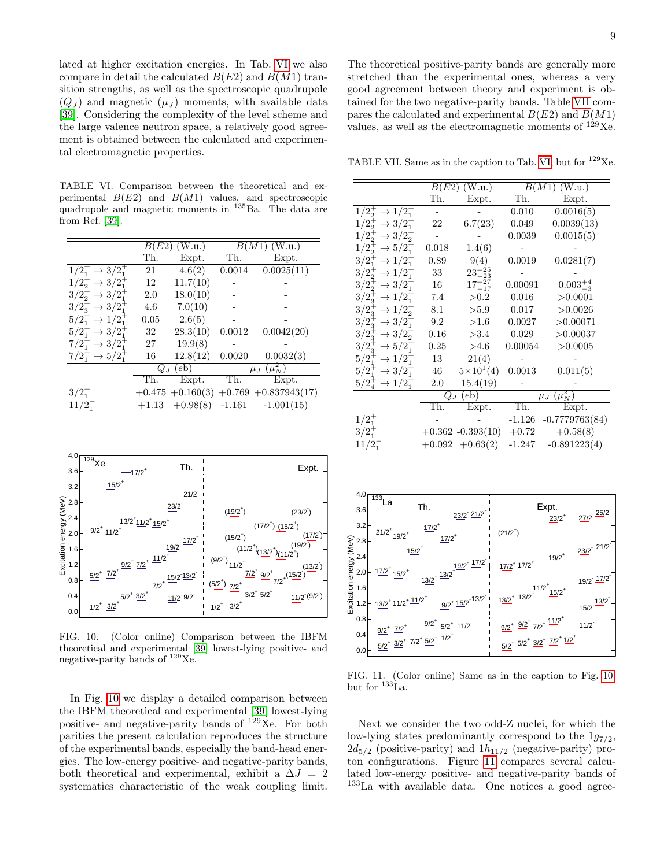lated at higher excitation energies. In Tab. [VI](#page-8-0) we also compare in detail the calculated  $B(E2)$  and  $B(M1)$  transition strengths, as well as the spectroscopic quadrupole  $(Q_J)$  and magnetic  $(\mu_J)$  moments, with available data [\[39\]](#page-12-22). Considering the complexity of the level scheme and the large valence neutron space, a relatively good agreement is obtained between the calculated and experimental electromagnetic properties.

<span id="page-8-0"></span>TABLE VI. Comparison between the theoretical and experimental  $B(E2)$  and  $B(M1)$  values, and spectroscopic quadrupole and magnetic moments in <sup>135</sup>Ba. The data are from Ref. [\[39\]](#page-12-22).

|                                              | (W.u.)<br>B(E2) |                    | B(M1)    | (W.u.)                  |
|----------------------------------------------|-----------------|--------------------|----------|-------------------------|
|                                              | Th.             | Expt.              | Th.      | Expt.                   |
| $1/2^+_1 \rightarrow 3/2^+_1$                | 21              | 4.6(2)             | 0.0014   | 0.0025(11)              |
| $1/2^+_2 \rightarrow 3/2^+_1$                | 12              | 11.7(10)           |          |                         |
| $3/2^+_2 \rightarrow 3/2^+_1$                | 2.0             | 18.0(10)           |          |                         |
| $\rightarrow 3/2$<br>$3/2^{\dagger}_{\circ}$ | 4.6             | 7.0(10)            |          |                         |
| $\rightarrow 1/2$<br>$5/2^-_1$               | 0.05            | 2.6(5)             |          |                         |
| $\rightarrow$ 3/2<br>$5/2^-$                 | 32              | 28.3(10)           | 0.0012   | 0.0042(20)              |
| $\rightarrow 3/2$<br>$7/2^+$                 | 27              | 19.9(8)            |          |                         |
| $\to 5/2^-$<br>7/2,                          | 16              | 12.8(12)           | 0.0020   | 0.0032(3)               |
|                                              | $Q_{J}$         | (e <sub>b</sub> )  |          | $(\mu_N^2)$<br>$\mu_J$  |
|                                              | Th.             | Expt.              | Th.      | Expt.                   |
| $3/2^+$                                      |                 | $+0.475 +0.160(3)$ |          | $+0.769 + 0.837943(17)$ |
| $11/2^-$                                     | $+1.13$         | $+0.98(8)$         | $-1.161$ | $-1.001(15)$            |
|                                              |                 |                    |          |                         |



<span id="page-8-1"></span>FIG. 10. (Color online) Comparison between the IBFM theoretical and experimental [\[39\]](#page-12-22) lowest-lying positive- and negative-parity bands of  $^{129}$ Xe.

In Fig. [10](#page-8-1) we display a detailed comparison between the IBFM theoretical and experimental [\[39\]](#page-12-22) lowest-lying positive- and negative-parity bands of  $129X$ e. For both parities the present calculation reproduces the structure of the experimental bands, especially the band-head energies. The low-energy positive- and negative-parity bands, both theoretical and experimental, exhibit a  $\Delta J = 2$ systematics characteristic of the weak coupling limit.

The theoretical positive-parity bands are generally more stretched than the experimental ones, whereas a very good agreement between theory and experiment is obtained for the two negative-parity bands. Table [VII](#page-8-2) compares the calculated and experimental  $B(E2)$  and  $B(M1)$ values, as well as the electromagnetic moments of  $129Xe$ .

<span id="page-8-2"></span>TABLE VII. Same as in the caption to Tab. [VI,](#page-8-0) but for <sup>129</sup>Xe.

|                                       | B(E2)  | (W.u.)                       | B(M1)   | (W.u.)                       |
|---------------------------------------|--------|------------------------------|---------|------------------------------|
|                                       | Th.    | $\overline{\mathrm{Expt}}$ . | Th.     | $\overline{\mathrm{Expt}}$ . |
| $1/2^+_2 \rightarrow 1/2^+_1$         |        |                              | 0.010   | 0.0016(5)                    |
| $1/2^+_2 \rightarrow 3/2^+_1$         | $22\,$ | 6.7(23)                      | 0.049   | 0.0039(13)                   |
| $1/2^+_2 \rightarrow 3/2^+_2$         |        |                              | 0.0039  | 0.0015(5)                    |
| $1/2^+_2 \rightarrow 5/2^+_1$         | 0.018  | 1.4(6)                       |         |                              |
| $3/2^+_1 \rightarrow 1/2^+_1$         | 0.89   | 9(4)                         | 0.0019  | 0.0281(7)                    |
| $3/2^+_2 \rightarrow 1/2^+_1$         | 33     | $23^{+25}_{-23}$             |         |                              |
| $3/2^+_2 \rightarrow 3/2^+_1$         | 16     | $17^{+27}_{-17}$             | 0.00091 | $0.003_{-3}^{+4}$            |
| $3/2^+$ $\rightarrow 1/2^+$           | 7.4    | > 0.2                        | 0.016   | >0.0001                      |
| $3/2^+_3 \rightarrow 1/2^+_2$         | 8.1    | > 5.9                        | 0.017   | >0.0026                      |
| $3/2^+_3 \rightarrow 3/2^+_1$         | 9.2    | >1.6                         | 0.0027  | >0.00071                     |
| $3/2^+_3 \rightarrow 3/2^+_2$         | 0.16   | >3.4                         | 0.029   | >0.00037                     |
| $3/2^+_3 \rightarrow 5/2^+_1$         | 0.25   | >4.6                         | 0.00054 | >0.0005                      |
| $5/2^+_1 \rightarrow 1/2^+_1$         | 13     | 21(4)                        |         |                              |
| $5/2^+_1 \rightarrow 3/2^+_1$         | 46     | $5 \times 10^{1}(4)$         | 0.0013  | 0.011(5)                     |
| $5/2_{4}^{+} \rightarrow 1/2_{1}^{-}$ | 2.0    | 15.4(19)                     |         |                              |
|                                       | $Q_J$  | (eb)                         |         | $(\mu_N^2)$<br>$\mu_J$       |
|                                       | Th.    | Expt.                        | Th.     | Expt.                        |
| $1/2_1^+$                             |        |                              |         | $-1.126$ $-0.7779763(84)$    |
| $3/2^+$                               |        | $+0.362 -0.393(10)$          | $+0.72$ | $+0.58(8)$                   |
| $11/2^{-}_{1}$                        |        | $+0.092 +0.63(2)$            |         | $-1.247 -0.891223(4)$        |



<span id="page-8-3"></span>FIG. 11. (Color online) Same as in the caption to Fig. [10,](#page-8-1) but for  $133)$  La.

Next we consider the two odd-Z nuclei, for which the low-lying states predominantly correspond to the  $1g_{7/2}$ ,  $2d_{5/2}$  (positive-parity) and  $1h_{11/2}$  (negative-parity) proton configurations. Figure [11](#page-8-3) compares several calculated low-energy positive- and negative-parity bands of <sup>133</sup>La with available data. One notices a good agree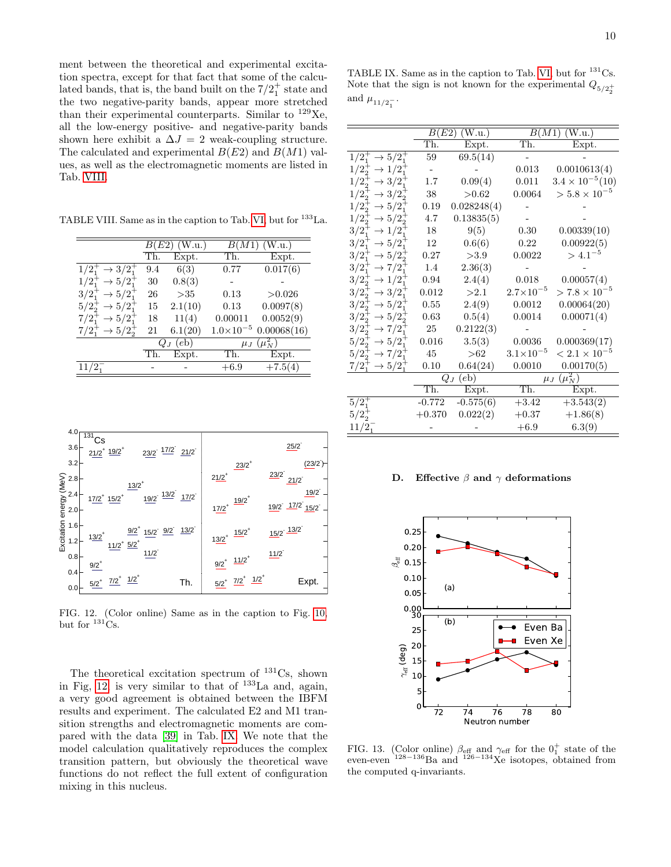ment between the theoretical and experimental excitation spectra, except for that fact that some of the calculated bands, that is, the band built on the  $7/2<sub>1</sub><sup>+</sup>$  state and the two negative-parity bands, appear more stretched than their experimental counterparts. Similar to  $^{129}Xe$ , all the low-energy positive- and negative-parity bands shown here exhibit a  $\Delta J = 2$  weak-coupling structure. The calculated and experimental  $B(E2)$  and  $B(M1)$  values, as well as the electromagnetic moments are listed in Tab. [VIII.](#page-9-0)

TABLE VIII. Same as in the caption to Tab. [VI,](#page-8-0) but for <sup>133</sup>La.

<span id="page-9-0"></span>

| W.u.)<br>E2 |         | W.u.)              |             |
|-------------|---------|--------------------|-------------|
| Th.         | Expt.   | Th.                | Expt.       |
| 9.4         | 6(3)    | 0.77               | 0.017(6)    |
| 30          | 0.8(3)  |                    |             |
| 26          | >35     | 0.13               | >0.026      |
| 15          | 2.1(10) | 0.13               | 0.0097(8)   |
| 18          | 11(4)   | 0.00011            | 0.0052(9)   |
| 21          | 6.1(20) | $1.0\times10^{-5}$ | 0.00068(16) |
|             | (eb)    | $\mu_J$            | $(\mu_N^2)$ |
| Th.         | Expt.   | Th.                | Expt.       |
|             |         | $+6.9$             | $+7.5(4)$   |
|             |         |                    |             |



<span id="page-9-1"></span>FIG. 12. (Color online) Same as in the caption to Fig. [10,](#page-8-1) but for  $^{131}$ Cs.

The theoretical excitation spectrum of <sup>131</sup>Cs, shown in Fig, [12,](#page-9-1) is very similar to that of  $133$ La and, again, a very good agreement is obtained between the IBFM results and experiment. The calculated E2 and M1 transition strengths and electromagnetic moments are compared with the data [\[39\]](#page-12-22) in Tab. [IX.](#page-9-2) We note that the model calculation qualitatively reproduces the complex transition pattern, but obviously the theoretical wave functions do not reflect the full extent of configuration mixing in this nucleus.

<span id="page-9-2"></span>

|                               |               | B(E2)<br>(W.u.) |                                   | (W.u.)<br>B(M1)          |
|-------------------------------|---------------|-----------------|-----------------------------------|--------------------------|
|                               | Th.           | Expt.           | Th.                               | Expt.                    |
| $1/2^+_1 \rightarrow 5/2^+_1$ | 59            | 69.5(14)        |                                   |                          |
| $1/2^+_2 \rightarrow 1/2^+_1$ |               |                 | 0.013                             | 0.0010613(4)             |
| $1/2^+_2 \rightarrow 3/2^+_1$ | 1.7           | 0.09(4)         | 0.011                             | $3.4 \times 10^{-5}(10)$ |
| $1/2^+_2 \rightarrow 3/2^+_2$ | 38            | > 0.62          | $\,0.0064\,$                      | $> 5.8 \times 10^{-5}$   |
| $1/2^+_2 \rightarrow 5/2^+_1$ | 0.19          | 0.028248(4)     |                                   |                          |
| $1/2^+_2 \rightarrow 5/2^+_2$ | 4.7           | 0.13835(5)      |                                   |                          |
| $3/2^+_1 \rightarrow 1/2^+_1$ | 18            | 9(5)            | 0.30                              | 0.00339(10)              |
| $3/2^+_1 \rightarrow 5/2^+_1$ | 12            | 0.6(6)          | 0.22                              | 0.00922(5)               |
| $3/2^+_1 \rightarrow 5/2^+_2$ | 0.27          | >3.9            | 0.0022                            | $> 4.1^{-5}$             |
| $3/2^+_1 \rightarrow 7/2^+_1$ | 1.4           | 2.36(3)         |                                   |                          |
| $3/2^+_2 \rightarrow 1/2^+_1$ | 0.94          | 2.4(4)          | $0.018\,$                         | 0.00057(4)               |
| $3/2^+_2 \rightarrow 3/2^+_1$ | 0.012         | >2.1            | $2.7\times10^{-5}$                | $> 7.8 \times 10^{-5}$   |
| $3/2^+_2 \rightarrow 5/2^+_1$ | 0.55          | 2.4(9)          | 0.0012                            | 0.00064(20)              |
| $3/2^+_2 \rightarrow 5/2^+_2$ | 0.63          | 0.5(4)          | 0.0014                            | 0.00071(4)               |
| $3/2^+_2 \rightarrow 7/2^+_1$ | 25            | 0.2122(3)       |                                   |                          |
| $5/2^+_2 \rightarrow 5/2^+_1$ | 0.016         | 3.5(3)          | 0.0036                            | 0.000369(17)             |
| $5/2^+_2 \rightarrow 7/2^+_1$ | 45            | >62             | $3.1 \times 10^{-5}$              | $< 2.1 \times 10^{-5}$   |
| $7/2^+_1 \rightarrow 5/2^+_1$ | 0.10          | 0.64(24)        | 0.0010                            | 0.00170(5)               |
|                               | (eb)<br>$Q_J$ |                 | $\overline{(\mu_N^2)}$<br>$\mu_J$ |                          |
|                               | Th.           | Expt.           | Th.                               | Expt.                    |
| $5/2^+_1$                     | $-0.772$      | $-0.575(6)$     | $+3.42$                           | $+3.543(2)$              |
| $5/2^+_2$                     | $+0.370$      | 0.022(2)        | $+0.37$                           | $+1.86(8)$               |
| $11/2_1^-$                    |               |                 | $+6.9$                            | 6.3(9)                   |

D. Effective  $\beta$  and  $\gamma$  deformations



<span id="page-9-3"></span>FIG. 13. (Color online)  $\beta_{\text{eff}}$  and  $\gamma_{\text{eff}}$  for the  $0_1^+$  state of the even-even <sup>128−136</sup>Ba and <sup>126−134</sup>Xe isotopes, obtained from the computed q-invariants.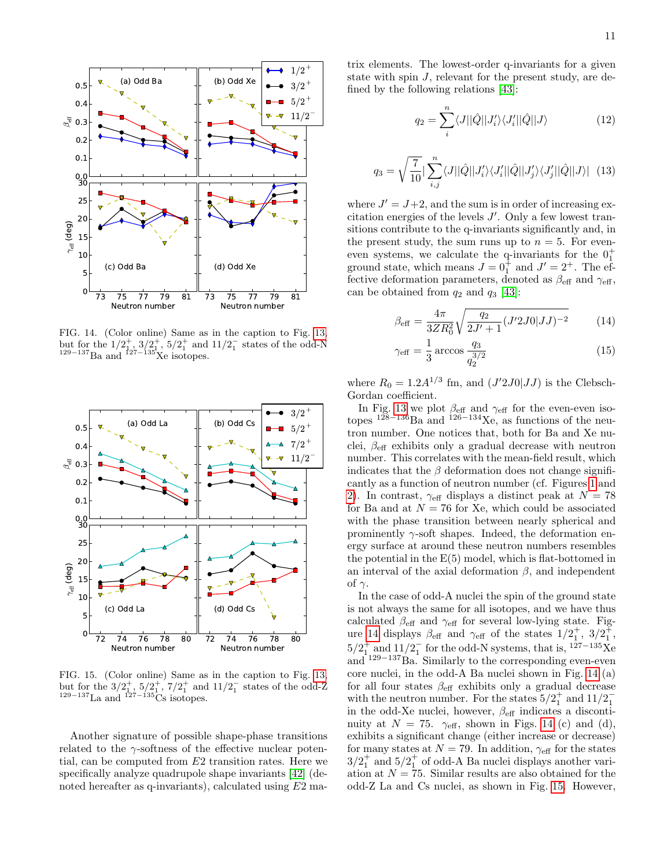

<span id="page-10-0"></span>FIG. 14. (Color online) Same as in the caption to Fig. [13,](#page-9-3) but for the  $1/2^+_{1,2}$ ,  $3/2^+_{1,2}$ ,  $5/2^+_{1,2}$  and  $11/2^-_{1,2}$  states of the odd-N  $^{129-137}$ Ba and  $^{127-135}$ Xe isotopes.



<span id="page-10-1"></span>FIG. 15. (Color online) Same as in the caption to Fig. [13,](#page-9-3) but for the  $3/2^+_{12}$ ,  $5/2^+_{21}$ ,  $7/2^+_{1}$  and  $11/2^-_{1}$  states of the odd-Z  $129-137$ La and  $127-135$ Cs isotopes.

Another signature of possible shape-phase transitions related to the  $\gamma$ -softness of the effective nuclear potential, can be computed from E2 transition rates. Here we specifically analyze quadrupole shape invariants [\[42\]](#page-12-25) (denoted hereafter as q-invariants), calculated using  $E2$  ma-

trix elements. The lowest-order q-invariants for a given state with spin J, relevant for the present study, are defined by the following relations [\[43\]](#page-12-26):

$$
q_2 = \sum_{i}^{n} \langle J || \hat{Q} || J'_{i} \rangle \langle J'_{i} || \hat{Q} || J \rangle \tag{12}
$$

$$
q_3 = \sqrt{\frac{7}{10}} |\sum_{i,j}^{n} \langle J||\hat{Q}||J_i'\rangle \langle J_i'||\hat{Q}||J_j'\rangle \langle J_j'||\hat{Q}||J\rangle| \tag{13}
$$

where  $J' = J + 2$ , and the sum is in order of increasing excitation energies of the levels  $J'$ . Only a few lowest transitions contribute to the q-invariants significantly and, in the present study, the sum runs up to  $n = 5$ . For eveneven systems, we calculate the q-invariants for the  $0^+_1$ ground state, which means  $J = 0^+_1$  and  $J' = 2^+$ . The effective deformation parameters, denoted as  $\beta_{\text{eff}}$  and  $\gamma_{\text{eff}}$ , can be obtained from  $q_2$  and  $q_3$  [\[43\]](#page-12-26):

$$
\beta_{\text{eff}} = \frac{4\pi}{3ZR_0^2} \sqrt{\frac{q_2}{2J' + 1} (J'2J0|JJ)^{-2}} \tag{14}
$$

$$
\gamma_{\text{eff}} = \frac{1}{3} \arccos \frac{q_3}{q_2^{3/2}} \tag{15}
$$

where  $R_0 = 1.2A^{1/3}$  fm, and  $(J'2J0|JJ)$  is the Clebsch-Gordan coefficient.

In Fig. [13](#page-9-3) we plot  $\beta_{\text{eff}}$  and  $\gamma_{\text{eff}}$  for the even-even isotopes  $128-136$ Ba and  $126-134$ Xe, as functions of the neutron number. One notices that, both for Ba and Xe nuclei,  $\beta_{\text{eff}}$  exhibits only a gradual decrease with neutron number. This correlates with the mean-field result, which indicates that the  $\beta$  deformation does not change significantly as a function of neutron number (cf. Figures [1](#page-4-1) and [2\)](#page-4-2). In contrast,  $\gamma_{\text{eff}}$  displays a distinct peak at  $N = 78$ for Ba and at  $N = 76$  for Xe, which could be associated with the phase transition between nearly spherical and prominently  $\gamma$ -soft shapes. Indeed, the deformation energy surface at around these neutron numbers resembles the potential in the  $E(5)$  model, which is flat-bottomed in an interval of the axial deformation  $\beta$ , and independent of  $\gamma$ .

In the case of odd-A nuclei the spin of the ground state is not always the same for all isotopes, and we have thus calculated  $\beta_{\text{eff}}$  and  $\gamma_{\text{eff}}$  for several low-lying state. Fig-ure [14](#page-10-0) displays  $\beta_{\text{eff}}$  and  $\gamma_{\text{eff}}$  of the states  $1/2_1^+$ ,  $3/2_1^+$ ,  $5/2^+$  and  $11/2^ \frac{1}{1}$  for the odd-N systems, that is, <sup>127–135</sup>Xe and  $129-137$  Ba. Similarly to the corresponding even-even core nuclei, in the odd-A Ba nuclei shown in Fig. [14](#page-10-0) (a) for all four states  $\beta_{\text{eff}}$  exhibits only a gradual decrease with the neutron number. For the states  $5/2_1^+$  and  $11/2_1^-$ 1 in the odd-Xe nuclei, however,  $\beta_{\text{eff}}$  indicates a discontinuity at  $N = 75$ .  $\gamma_{\text{eff}}$ , shown in Figs. [14](#page-10-0) (c) and (d), exhibits a significant change (either increase or decrease) for many states at  $N = 79$ . In addition,  $\gamma_{\text{eff}}$  for the states  $3/2_1^+$  and  $5/2_1^+$  of odd-A Ba nuclei displays another variation at  $N = 75$ . Similar results are also obtained for the odd-Z La and Cs nuclei, as shown in Fig. [15.](#page-10-1) However,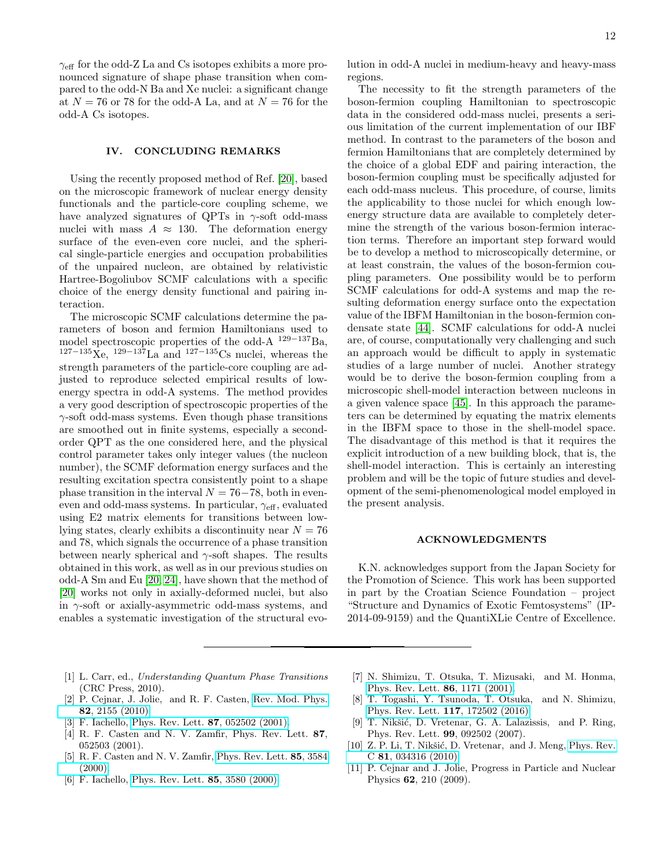$\gamma_{\text{eff}}$  for the odd-Z La and Cs isotopes exhibits a more pronounced signature of shape phase transition when compared to the odd-N Ba and Xe nuclei: a significant change at  $N = 76$  or 78 for the odd-A La, and at  $N = 76$  for the odd-A Cs isotopes.

# <span id="page-11-11"></span>IV. CONCLUDING REMARKS

Using the recently proposed method of Ref. [\[20\]](#page-12-5), based on the microscopic framework of nuclear energy density functionals and the particle-core coupling scheme, we have analyzed signatures of QPTs in  $\gamma$ -soft odd-mass nuclei with mass  $A \approx 130$ . The deformation energy surface of the even-even core nuclei, and the spherical single-particle energies and occupation probabilities of the unpaired nucleon, are obtained by relativistic Hartree-Bogoliubov SCMF calculations with a specific choice of the energy density functional and pairing interaction.

The microscopic SCMF calculations determine the parameters of boson and fermion Hamiltonians used to model spectroscopic properties of the odd-A <sup>129</sup>−137Ba,  $127-135Xe$ ,  $129-137La$  and  $127-135Cs$  nuclei, whereas the strength parameters of the particle-core coupling are adjusted to reproduce selected empirical results of lowenergy spectra in odd-A systems. The method provides a very good description of spectroscopic properties of the  $\gamma$ -soft odd-mass systems. Even though phase transitions are smoothed out in finite systems, especially a secondorder QPT as the one considered here, and the physical control parameter takes only integer values (the nucleon number), the SCMF deformation energy surfaces and the resulting excitation spectra consistently point to a shape phase transition in the interval  $N = 76-78$ , both in eveneven and odd-mass systems. In particular,  $\gamma_{\text{eff}}$ , evaluated using E2 matrix elements for transitions between lowlying states, clearly exhibits a discontinuity near  $N = 76$ and 78, which signals the occurrence of a phase transition between nearly spherical and  $\gamma$ -soft shapes. The results obtained in this work, as well as in our previous studies on odd-A Sm and Eu [\[20,](#page-12-5) [24\]](#page-12-9), have shown that the method of [\[20\]](#page-12-5) works not only in axially-deformed nuclei, but also in γ-soft or axially-asymmetric odd-mass systems, and enables a systematic investigation of the structural evolution in odd-A nuclei in medium-heavy and heavy-mass regions.

The necessity to fit the strength parameters of the boson-fermion coupling Hamiltonian to spectroscopic data in the considered odd-mass nuclei, presents a serious limitation of the current implementation of our IBF method. In contrast to the parameters of the boson and fermion Hamiltonians that are completely determined by the choice of a global EDF and pairing interaction, the boson-fermion coupling must be specifically adjusted for each odd-mass nucleus. This procedure, of course, limits the applicability to those nuclei for which enough lowenergy structure data are available to completely determine the strength of the various boson-fermion interaction terms. Therefore an important step forward would be to develop a method to microscopically determine, or at least constrain, the values of the boson-fermion coupling parameters. One possibility would be to perform SCMF calculations for odd-A systems and map the resulting deformation energy surface onto the expectation value of the IBFM Hamiltonian in the boson-fermion condensate state [\[44\]](#page-12-27). SCMF calculations for odd-A nuclei are, of course, computationally very challenging and such an approach would be difficult to apply in systematic studies of a large number of nuclei. Another strategy would be to derive the boson-fermion coupling from a microscopic shell-model interaction between nucleons in a given valence space [\[45\]](#page-12-28). In this approach the parameters can be determined by equating the matrix elements in the IBFM space to those in the shell-model space. The disadvantage of this method is that it requires the explicit introduction of a new building block, that is, the shell-model interaction. This is certainly an interesting problem and will be the topic of future studies and development of the semi-phenomenological model employed in the present analysis.

### ACKNOWLEDGMENTS

K.N. acknowledges support from the Japan Society for the Promotion of Science. This work has been supported in part by the Croatian Science Foundation – project "Structure and Dynamics of Exotic Femtosystems" (IP-2014-09-9159) and the QuantiXLie Centre of Excellence.

- <span id="page-11-0"></span>[1] L. Carr, ed., Understanding Quantum Phase Transitions (CRC Press, 2010).
- <span id="page-11-1"></span>[2] P. Cejnar, J. Jolie, and R. F. Casten, [Rev. Mod. Phys.](http://dx.doi.org/10.1103/RevModPhys.82.2155) 82[, 2155 \(2010\).](http://dx.doi.org/10.1103/RevModPhys.82.2155)
- <span id="page-11-2"></span>[3] F. Iachello, [Phys. Rev. Lett.](http://dx.doi.org/10.1103/PhysRevLett.87.052502) 87, 052502 (2001).
- <span id="page-11-3"></span>[4] R. F. Casten and N. V. Zamfir, Phys. Rev. Lett. 87, 052503 (2001).
- <span id="page-11-4"></span>[5] R. F. Casten and N. V. Zamfir, [Phys. Rev. Lett.](http://dx.doi.org/10.1103/PhysRevLett.85.3584) 85, 3584  $(2000)$ .
- <span id="page-11-5"></span>[6] F. Iachello, [Phys. Rev. Lett.](http://dx.doi.org/10.1103/PhysRevLett.85.3580) 85, 3580 (2000).
- <span id="page-11-6"></span>[7] N. Shimizu, T. Otsuka, T. Mizusaki, and M. Honma, [Phys. Rev. Lett.](http://dx.doi.org/10.1103/PhysRevLett.86.1171) 86, 1171 (2001).
- <span id="page-11-7"></span>[8] T. Togashi, Y. Tsunoda, T. Otsuka, and N. Shimizu, [Phys. Rev. Lett.](http://dx.doi.org/ 10.1103/PhysRevLett.117.172502) 117, 172502 (2016).
- <span id="page-11-8"></span>[9] T. Nikšić, D. Vretenar, G. A. Lalazissis, and P. Ring, Phys. Rev. Lett. 99, 092502 (2007).
- <span id="page-11-9"></span>[10] Z. P. Li, T. Nikšić, D. Vretenar, and J. Meng, [Phys. Rev.](http://dx.doi.org/ 10.1103/PhysRevC.81.034316) C 81[, 034316 \(2010\).](http://dx.doi.org/ 10.1103/PhysRevC.81.034316)
- <span id="page-11-10"></span>[11] P. Cejnar and J. Jolie, Progress in Particle and Nuclear Physics 62, 210 (2009).